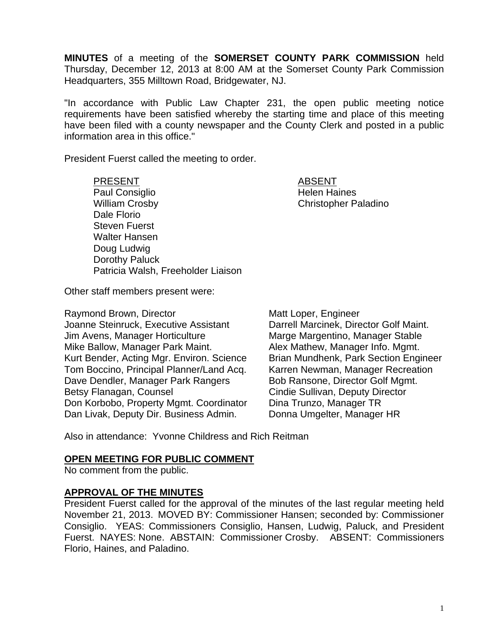**MINUTES** of a meeting of the **SOMERSET COUNTY PARK COMMISSION** held Thursday, December 12, 2013 at 8:00 AM at the Somerset County Park Commission Headquarters, 355 Milltown Road, Bridgewater, NJ.

"In accordance with Public Law Chapter 231, the open public meeting notice requirements have been satisfied whereby the starting time and place of this meeting have been filed with a county newspaper and the County Clerk and posted in a public information area in this office."

President Fuerst called the meeting to order.

PRESENT ABSENT Paul Consiglio **Helen Haines** William Crosby **Christopher Paladino** Dale Florio Steven Fuerst Walter Hansen Doug Ludwig Dorothy Paluck Patricia Walsh, Freeholder Liaison

Other staff members present were:

Raymond Brown, Director Matt Loper, Engineer Joanne Steinruck, Executive Assistant Darrell Marcinek, Director Golf Maint. Jim Avens, Manager Horticulture Marge Margentino, Manager Stable Mike Ballow, Manager Park Maint. Alex Mathew, Manager Info. Mgmt. Kurt Bender, Acting Mgr. Environ. Science Brian Mundhenk, Park Section Engineer Tom Boccino, Principal Planner/Land Acq. Karren Newman, Manager Recreation Dave Dendler, Manager Park Rangers Bob Ransone, Director Golf Mgmt. Betsy Flanagan, Counsel **Counsel Cindie Sullivan, Deputy Director** Don Korbobo, Property Mgmt. Coordinator Dina Trunzo, Manager TR Dan Livak, Deputy Dir. Business Admin. Donna Umgelter, Manager HR

Also in attendance: Yvonne Childress and Rich Reitman

### **OPEN MEETING FOR PUBLIC COMMENT**

No comment from the public.

### **APPROVAL OF THE MINUTES**

President Fuerst called for the approval of the minutes of the last regular meeting held November 21, 2013. MOVED BY: Commissioner Hansen; seconded by: Commissioner Consiglio. YEAS: Commissioners Consiglio, Hansen, Ludwig, Paluck, and President Fuerst. NAYES: None. ABSTAIN: Commissioner Crosby. ABSENT: Commissioners Florio, Haines, and Paladino.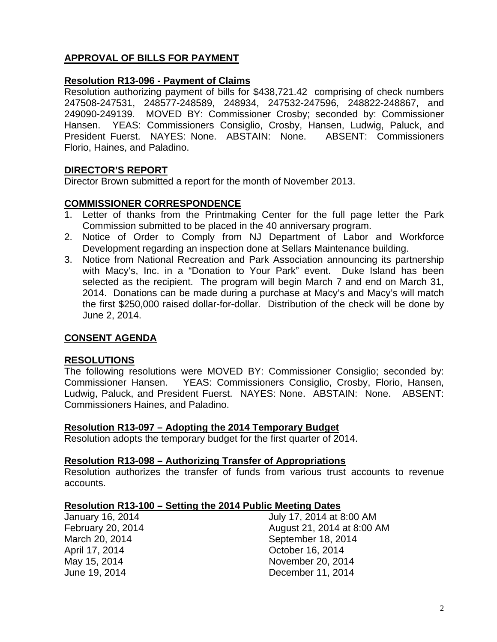# **APPROVAL OF BILLS FOR PAYMENT**

## **Resolution R13-096 - Payment of Claims**

Resolution authorizing payment of bills for \$438,721.42 comprising of check numbers 247508-247531, 248577-248589, 248934, 247532-247596, 248822-248867, and 249090-249139. MOVED BY: Commissioner Crosby; seconded by: Commissioner Hansen. YEAS: Commissioners Consiglio, Crosby, Hansen, Ludwig, Paluck, and President Fuerst. NAYES: None. ABSTAIN: None. ABSENT: Commissioners Florio, Haines, and Paladino.

## **DIRECTOR'S REPORT**

Director Brown submitted a report for the month of November 2013.

## **COMMISSIONER CORRESPONDENCE**

- 1. Letter of thanks from the Printmaking Center for the full page letter the Park Commission submitted to be placed in the 40 anniversary program.
- 2. Notice of Order to Comply from NJ Department of Labor and Workforce Development regarding an inspection done at Sellars Maintenance building.
- 3. Notice from National Recreation and Park Association announcing its partnership with Macy's, Inc. in a "Donation to Your Park" event. Duke Island has been selected as the recipient. The program will begin March 7 and end on March 31, 2014. Donations can be made during a purchase at Macy's and Macy's will match the first \$250,000 raised dollar-for-dollar. Distribution of the check will be done by June 2, 2014.

# **CONSENT AGENDA**

### **RESOLUTIONS**

The following resolutions were MOVED BY: Commissioner Consiglio; seconded by: Commissioner Hansen. YEAS: Commissioners Consiglio, Crosby, Florio, Hansen, Ludwig, Paluck, and President Fuerst. NAYES: None. ABSTAIN: None. ABSENT: Commissioners Haines, and Paladino.

#### **Resolution R13-097 – Adopting the 2014 Temporary Budget**

Resolution adopts the temporary budget for the first quarter of 2014.

#### **Resolution R13-098 – Authorizing Transfer of Appropriations**

Resolution authorizes the transfer of funds from various trust accounts to revenue accounts.

#### **Resolution R13-100 – Setting the 2014 Public Meeting Dates**

| July 17, 2014 at 8:00 AM   |
|----------------------------|
| August 21, 2014 at 8:00 AM |
| September 18, 2014         |
| October 16, 2014           |
| November 20, 2014          |
| December 11, 2014          |
|                            |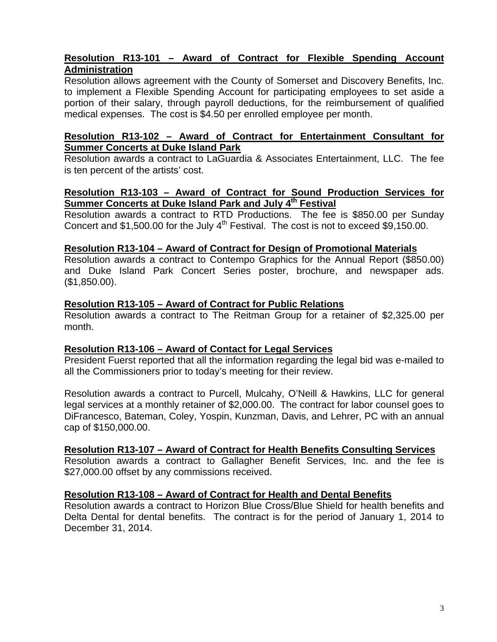# **Resolution R13-101 – Award of Contract for Flexible Spending Account Administration**

Resolution allows agreement with the County of Somerset and Discovery Benefits, Inc. to implement a Flexible Spending Account for participating employees to set aside a portion of their salary, through payroll deductions, for the reimbursement of qualified medical expenses. The cost is \$4.50 per enrolled employee per month.

### **Resolution R13-102 – Award of Contract for Entertainment Consultant for Summer Concerts at Duke Island Park**

Resolution awards a contract to LaGuardia & Associates Entertainment, LLC. The fee is ten percent of the artists' cost.

# **Resolution R13-103 – Award of Contract for Sound Production Services for Summer Concerts at Duke Island Park and July 4th Festival**

Resolution awards a contract to RTD Productions. The fee is \$850.00 per Sunday Concert and \$1,500.00 for the July  $4<sup>th</sup>$  Festival. The cost is not to exceed \$9,150.00.

#### **Resolution R13-104 – Award of Contract for Design of Promotional Materials**

Resolution awards a contract to Contempo Graphics for the Annual Report (\$850.00) and Duke Island Park Concert Series poster, brochure, and newspaper ads. (\$1,850.00).

#### **Resolution R13-105 – Award of Contract for Public Relations**

Resolution awards a contract to The Reitman Group for a retainer of \$2,325.00 per month.

### **Resolution R13-106 – Award of Contact for Legal Services**

President Fuerst reported that all the information regarding the legal bid was e-mailed to all the Commissioners prior to today's meeting for their review.

Resolution awards a contract to Purcell, Mulcahy, O'Neill & Hawkins, LLC for general legal services at a monthly retainer of \$2,000.00. The contract for labor counsel goes to DiFrancesco, Bateman, Coley, Yospin, Kunzman, Davis, and Lehrer, PC with an annual cap of \$150,000.00.

#### **Resolution R13-107 – Award of Contract for Health Benefits Consulting Services**

Resolution awards a contract to Gallagher Benefit Services, Inc. and the fee is \$27,000.00 offset by any commissions received.

### **Resolution R13-108 – Award of Contract for Health and Dental Benefits**

Resolution awards a contract to Horizon Blue Cross/Blue Shield for health benefits and Delta Dental for dental benefits. The contract is for the period of January 1, 2014 to December 31, 2014.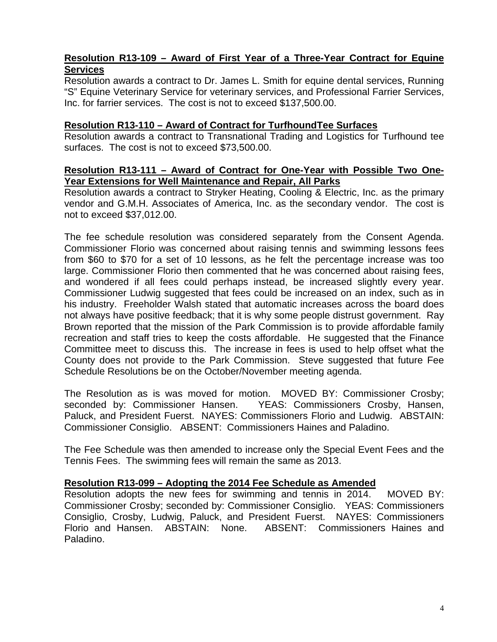# **Resolution R13-109 – Award of First Year of a Three-Year Contract for Equine Services**

Resolution awards a contract to Dr. James L. Smith for equine dental services, Running "S" Equine Veterinary Service for veterinary services, and Professional Farrier Services, Inc. for farrier services. The cost is not to exceed \$137,500.00.

#### **Resolution R13-110 – Award of Contract for TurfhoundTee Surfaces**

Resolution awards a contract to Transnational Trading and Logistics for Turfhound tee surfaces. The cost is not to exceed \$73,500.00.

#### **Resolution R13-111 – Award of Contract for One-Year with Possible Two One-Year Extensions for Well Maintenance and Repair, All Parks**

Resolution awards a contract to Stryker Heating, Cooling & Electric, Inc. as the primary vendor and G.M.H. Associates of America, Inc. as the secondary vendor. The cost is not to exceed \$37,012.00.

The fee schedule resolution was considered separately from the Consent Agenda. Commissioner Florio was concerned about raising tennis and swimming lessons fees from \$60 to \$70 for a set of 10 lessons, as he felt the percentage increase was too large. Commissioner Florio then commented that he was concerned about raising fees, and wondered if all fees could perhaps instead, be increased slightly every year. Commissioner Ludwig suggested that fees could be increased on an index, such as in his industry. Freeholder Walsh stated that automatic increases across the board does not always have positive feedback; that it is why some people distrust government. Ray Brown reported that the mission of the Park Commission is to provide affordable family recreation and staff tries to keep the costs affordable. He suggested that the Finance Committee meet to discuss this. The increase in fees is used to help offset what the County does not provide to the Park Commission. Steve suggested that future Fee Schedule Resolutions be on the October/November meeting agenda.

The Resolution as is was moved for motion. MOVED BY: Commissioner Crosby; seconded by: Commissioner Hansen. YEAS: Commissioners Crosby, Hansen, Paluck, and President Fuerst. NAYES: Commissioners Florio and Ludwig. ABSTAIN: Commissioner Consiglio. ABSENT: Commissioners Haines and Paladino.

The Fee Schedule was then amended to increase only the Special Event Fees and the Tennis Fees. The swimming fees will remain the same as 2013.

### **Resolution R13-099 – Adopting the 2014 Fee Schedule as Amended**

Resolution adopts the new fees for swimming and tennis in 2014. MOVED BY: Commissioner Crosby; seconded by: Commissioner Consiglio. YEAS: Commissioners Consiglio, Crosby, Ludwig, Paluck, and President Fuerst. NAYES: Commissioners Florio and Hansen. ABSTAIN: None. ABSENT: Commissioners Haines and Paladino.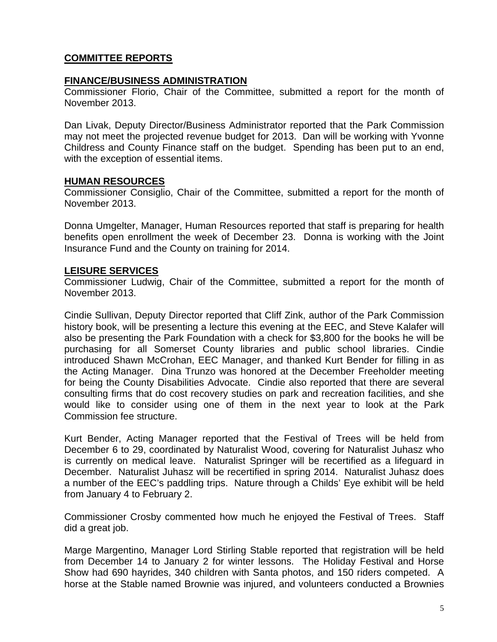# **COMMITTEE REPORTS**

### **FINANCE/BUSINESS ADMINISTRATION**

Commissioner Florio, Chair of the Committee, submitted a report for the month of November 2013.

Dan Livak, Deputy Director/Business Administrator reported that the Park Commission may not meet the projected revenue budget for 2013. Dan will be working with Yvonne Childress and County Finance staff on the budget. Spending has been put to an end, with the exception of essential items.

### **HUMAN RESOURCES**

Commissioner Consiglio, Chair of the Committee, submitted a report for the month of November 2013.

Donna Umgelter, Manager, Human Resources reported that staff is preparing for health benefits open enrollment the week of December 23. Donna is working with the Joint Insurance Fund and the County on training for 2014.

# **LEISURE SERVICES**

Commissioner Ludwig, Chair of the Committee, submitted a report for the month of November 2013.

Cindie Sullivan, Deputy Director reported that Cliff Zink, author of the Park Commission history book, will be presenting a lecture this evening at the EEC, and Steve Kalafer will also be presenting the Park Foundation with a check for \$3,800 for the books he will be purchasing for all Somerset County libraries and public school libraries. Cindie introduced Shawn McCrohan, EEC Manager, and thanked Kurt Bender for filling in as the Acting Manager. Dina Trunzo was honored at the December Freeholder meeting for being the County Disabilities Advocate. Cindie also reported that there are several consulting firms that do cost recovery studies on park and recreation facilities, and she would like to consider using one of them in the next year to look at the Park Commission fee structure.

Kurt Bender, Acting Manager reported that the Festival of Trees will be held from December 6 to 29, coordinated by Naturalist Wood, covering for Naturalist Juhasz who is currently on medical leave. Naturalist Springer will be recertified as a lifeguard in December. Naturalist Juhasz will be recertified in spring 2014. Naturalist Juhasz does a number of the EEC's paddling trips. Nature through a Childs' Eye exhibit will be held from January 4 to February 2.

Commissioner Crosby commented how much he enjoyed the Festival of Trees. Staff did a great job.

Marge Margentino, Manager Lord Stirling Stable reported that registration will be held from December 14 to January 2 for winter lessons. The Holiday Festival and Horse Show had 690 hayrides, 340 children with Santa photos, and 150 riders competed. A horse at the Stable named Brownie was injured, and volunteers conducted a Brownies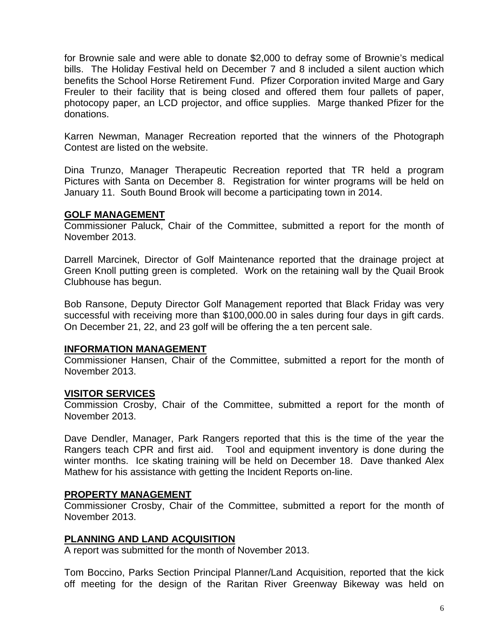for Brownie sale and were able to donate \$2,000 to defray some of Brownie's medical bills. The Holiday Festival held on December 7 and 8 included a silent auction which benefits the School Horse Retirement Fund. Pfizer Corporation invited Marge and Gary Freuler to their facility that is being closed and offered them four pallets of paper, photocopy paper, an LCD projector, and office supplies. Marge thanked Pfizer for the donations.

Karren Newman, Manager Recreation reported that the winners of the Photograph Contest are listed on the website.

Dina Trunzo, Manager Therapeutic Recreation reported that TR held a program Pictures with Santa on December 8. Registration for winter programs will be held on January 11. South Bound Brook will become a participating town in 2014.

#### **GOLF MANAGEMENT**

Commissioner Paluck, Chair of the Committee, submitted a report for the month of November 2013.

Darrell Marcinek, Director of Golf Maintenance reported that the drainage project at Green Knoll putting green is completed. Work on the retaining wall by the Quail Brook Clubhouse has begun.

Bob Ransone, Deputy Director Golf Management reported that Black Friday was very successful with receiving more than \$100,000.00 in sales during four days in gift cards. On December 21, 22, and 23 golf will be offering the a ten percent sale.

### **INFORMATION MANAGEMENT**

Commissioner Hansen, Chair of the Committee, submitted a report for the month of November 2013.

### **VISITOR SERVICES**

Commission Crosby, Chair of the Committee, submitted a report for the month of November 2013.

Dave Dendler, Manager, Park Rangers reported that this is the time of the year the Rangers teach CPR and first aid. Tool and equipment inventory is done during the winter months. Ice skating training will be held on December 18. Dave thanked Alex Mathew for his assistance with getting the Incident Reports on-line.

### **PROPERTY MANAGEMENT**

Commissioner Crosby, Chair of the Committee, submitted a report for the month of November 2013.

### **PLANNING AND LAND ACQUISITION**

A report was submitted for the month of November 2013.

Tom Boccino, Parks Section Principal Planner/Land Acquisition, reported that the kick off meeting for the design of the Raritan River Greenway Bikeway was held on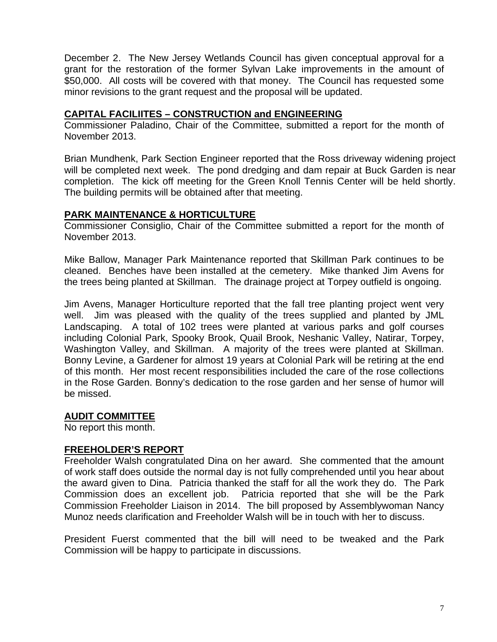December 2. The New Jersey Wetlands Council has given conceptual approval for a grant for the restoration of the former Sylvan Lake improvements in the amount of \$50,000. All costs will be covered with that money. The Council has requested some minor revisions to the grant request and the proposal will be updated.

### **CAPITAL FACILIITES – CONSTRUCTION and ENGINEERING**

Commissioner Paladino, Chair of the Committee, submitted a report for the month of November 2013.

Brian Mundhenk, Park Section Engineer reported that the Ross driveway widening project will be completed next week. The pond dredging and dam repair at Buck Garden is near completion. The kick off meeting for the Green Knoll Tennis Center will be held shortly. The building permits will be obtained after that meeting.

## **PARK MAINTENANCE & HORTICULTURE**

Commissioner Consiglio, Chair of the Committee submitted a report for the month of November 2013.

Mike Ballow, Manager Park Maintenance reported that Skillman Park continues to be cleaned. Benches have been installed at the cemetery. Mike thanked Jim Avens for the trees being planted at Skillman. The drainage project at Torpey outfield is ongoing.

Jim Avens, Manager Horticulture reported that the fall tree planting project went very well. Jim was pleased with the quality of the trees supplied and planted by JML Landscaping. A total of 102 trees were planted at various parks and golf courses including Colonial Park, Spooky Brook, Quail Brook, Neshanic Valley, Natirar, Torpey, Washington Valley, and Skillman. A majority of the trees were planted at Skillman. Bonny Levine, a Gardener for almost 19 years at Colonial Park will be retiring at the end of this month. Her most recent responsibilities included the care of the rose collections in the Rose Garden. Bonny's dedication to the rose garden and her sense of humor will be missed.

# **AUDIT COMMITTEE**

No report this month.

# **FREEHOLDER'S REPORT**

Freeholder Walsh congratulated Dina on her award. She commented that the amount of work staff does outside the normal day is not fully comprehended until you hear about the award given to Dina. Patricia thanked the staff for all the work they do. The Park Commission does an excellent job. Patricia reported that she will be the Park Commission Freeholder Liaison in 2014. The bill proposed by Assemblywoman Nancy Munoz needs clarification and Freeholder Walsh will be in touch with her to discuss.

President Fuerst commented that the bill will need to be tweaked and the Park Commission will be happy to participate in discussions.